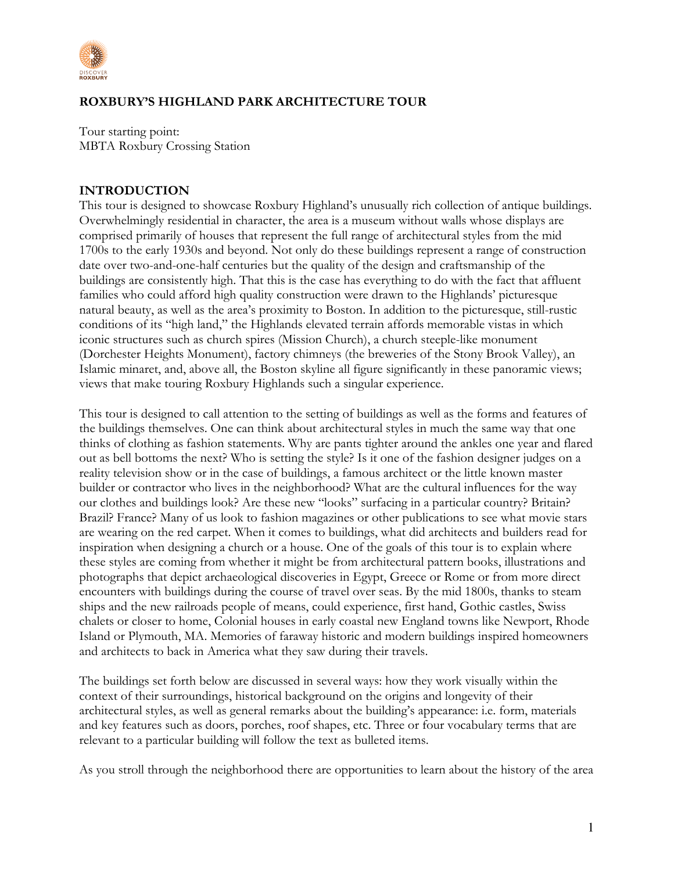

# **ROXBURY'S HIGHLAND PARK ARCHITECTURE TOUR**

Tour starting point: MBTA Roxbury Crossing Station

#### **INTRODUCTION**

This tour is designed to showcase Roxbury Highland's unusually rich collection of antique buildings. Overwhelmingly residential in character, the area is a museum without walls whose displays are comprised primarily of houses that represent the full range of architectural styles from the mid 1700s to the early 1930s and beyond. Not only do these buildings represent a range of construction date over two-and-one-half centuries but the quality of the design and craftsmanship of the buildings are consistently high. That this is the case has everything to do with the fact that affluent families who could afford high quality construction were drawn to the Highlands' picturesque natural beauty, as well as the area's proximity to Boston. In addition to the picturesque, still-rustic conditions of its "high land," the Highlands elevated terrain affords memorable vistas in which iconic structures such as church spires (Mission Church), a church steeple-like monument (Dorchester Heights Monument), factory chimneys (the breweries of the Stony Brook Valley), an Islamic minaret, and, above all, the Boston skyline all figure significantly in these panoramic views; views that make touring Roxbury Highlands such a singular experience.

This tour is designed to call attention to the setting of buildings as well as the forms and features of the buildings themselves. One can think about architectural styles in much the same way that one thinks of clothing as fashion statements. Why are pants tighter around the ankles one year and flared out as bell bottoms the next? Who is setting the style? Is it one of the fashion designer judges on a reality television show or in the case of buildings, a famous architect or the little known master builder or contractor who lives in the neighborhood? What are the cultural influences for the way our clothes and buildings look? Are these new "looks" surfacing in a particular country? Britain? Brazil? France? Many of us look to fashion magazines or other publications to see what movie stars are wearing on the red carpet. When it comes to buildings, what did architects and builders read for inspiration when designing a church or a house. One of the goals of this tour is to explain where these styles are coming from whether it might be from architectural pattern books, illustrations and photographs that depict archaeological discoveries in Egypt, Greece or Rome or from more direct encounters with buildings during the course of travel over seas. By the mid 1800s, thanks to steam ships and the new railroads people of means, could experience, first hand, Gothic castles, Swiss chalets or closer to home, Colonial houses in early coastal new England towns like Newport, Rhode Island or Plymouth, MA. Memories of faraway historic and modern buildings inspired homeowners and architects to back in America what they saw during their travels.

The buildings set forth below are discussed in several ways: how they work visually within the context of their surroundings, historical background on the origins and longevity of their architectural styles, as well as general remarks about the building's appearance: i.e. form, materials and key features such as doors, porches, roof shapes, etc. Three or four vocabulary terms that are relevant to a particular building will follow the text as bulleted items.

As you stroll through the neighborhood there are opportunities to learn about the history of the area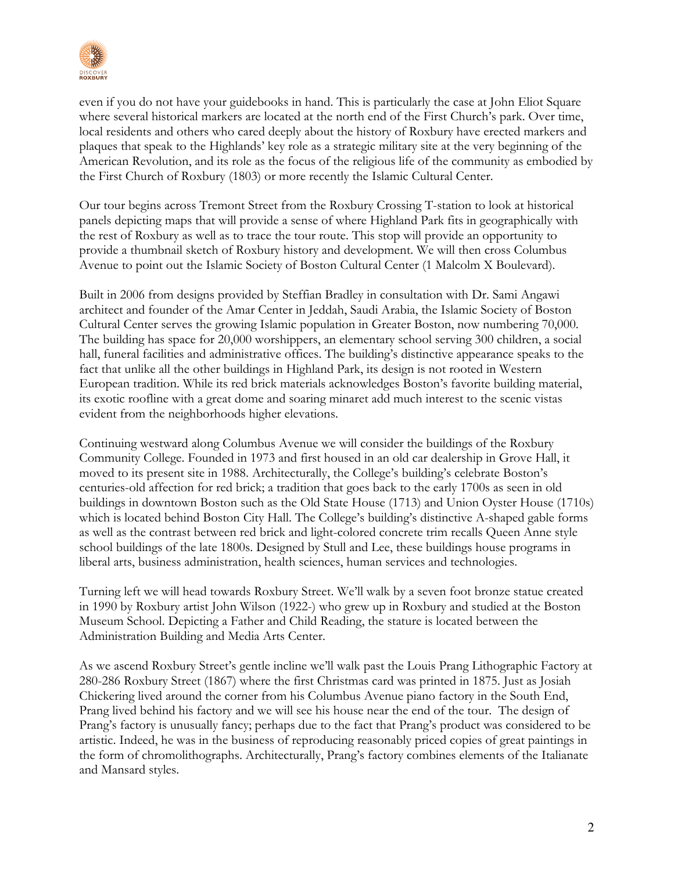

even if you do not have your guidebooks in hand. This is particularly the case at John Eliot Square where several historical markers are located at the north end of the First Church's park. Over time, local residents and others who cared deeply about the history of Roxbury have erected markers and plaques that speak to the Highlands' key role as a strategic military site at the very beginning of the American Revolution, and its role as the focus of the religious life of the community as embodied by the First Church of Roxbury (1803) or more recently the Islamic Cultural Center.

Our tour begins across Tremont Street from the Roxbury Crossing T-station to look at historical panels depicting maps that will provide a sense of where Highland Park fits in geographically with the rest of Roxbury as well as to trace the tour route. This stop will provide an opportunity to provide a thumbnail sketch of Roxbury history and development. We will then cross Columbus Avenue to point out the Islamic Society of Boston Cultural Center (1 Malcolm X Boulevard).

Built in 2006 from designs provided by Steffian Bradley in consultation with Dr. Sami Angawi architect and founder of the Amar Center in Jeddah, Saudi Arabia, the Islamic Society of Boston Cultural Center serves the growing Islamic population in Greater Boston, now numbering 70,000. The building has space for 20,000 worshippers, an elementary school serving 300 children, a social hall, funeral facilities and administrative offices. The building's distinctive appearance speaks to the fact that unlike all the other buildings in Highland Park, its design is not rooted in Western European tradition. While its red brick materials acknowledges Boston's favorite building material, its exotic roofline with a great dome and soaring minaret add much interest to the scenic vistas evident from the neighborhoods higher elevations.

Continuing westward along Columbus Avenue we will consider the buildings of the Roxbury Community College. Founded in 1973 and first housed in an old car dealership in Grove Hall, it moved to its present site in 1988. Architecturally, the College's building's celebrate Boston's centuries-old affection for red brick; a tradition that goes back to the early 1700s as seen in old buildings in downtown Boston such as the Old State House (1713) and Union Oyster House (1710s) which is located behind Boston City Hall. The College's building's distinctive A-shaped gable forms as well as the contrast between red brick and light-colored concrete trim recalls Queen Anne style school buildings of the late 1800s. Designed by Stull and Lee, these buildings house programs in liberal arts, business administration, health sciences, human services and technologies.

Turning left we will head towards Roxbury Street. We'll walk by a seven foot bronze statue created in 1990 by Roxbury artist John Wilson (1922-) who grew up in Roxbury and studied at the Boston Museum School. Depicting a Father and Child Reading, the stature is located between the Administration Building and Media Arts Center.

As we ascend Roxbury Street's gentle incline we'll walk past the Louis Prang Lithographic Factory at 280-286 Roxbury Street (1867) where the first Christmas card was printed in 1875. Just as Josiah Chickering lived around the corner from his Columbus Avenue piano factory in the South End, Prang lived behind his factory and we will see his house near the end of the tour. The design of Prang's factory is unusually fancy; perhaps due to the fact that Prang's product was considered to be artistic. Indeed, he was in the business of reproducing reasonably priced copies of great paintings in the form of chromolithographs. Architecturally, Prang's factory combines elements of the Italianate and Mansard styles.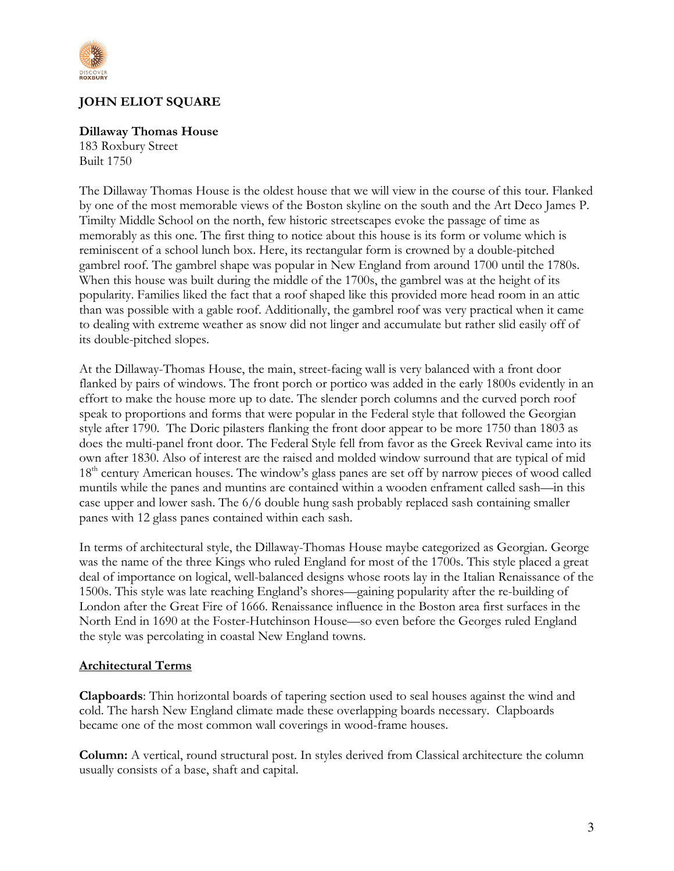

# **JOHN ELIOT SQUARE**

## **Dillaway Thomas House**

183 Roxbury Street Built 1750

The Dillaway Thomas House is the oldest house that we will view in the course of this tour. Flanked by one of the most memorable views of the Boston skyline on the south and the Art Deco James P. Timilty Middle School on the north, few historic streetscapes evoke the passage of time as memorably as this one. The first thing to notice about this house is its form or volume which is reminiscent of a school lunch box. Here, its rectangular form is crowned by a double-pitched gambrel roof. The gambrel shape was popular in New England from around 1700 until the 1780s. When this house was built during the middle of the 1700s, the gambrel was at the height of its popularity. Families liked the fact that a roof shaped like this provided more head room in an attic than was possible with a gable roof. Additionally, the gambrel roof was very practical when it came to dealing with extreme weather as snow did not linger and accumulate but rather slid easily off of its double-pitched slopes.

At the Dillaway-Thomas House, the main, street-facing wall is very balanced with a front door flanked by pairs of windows. The front porch or portico was added in the early 1800s evidently in an effort to make the house more up to date. The slender porch columns and the curved porch roof speak to proportions and forms that were popular in the Federal style that followed the Georgian style after 1790. The Doric pilasters flanking the front door appear to be more 1750 than 1803 as does the multi-panel front door. The Federal Style fell from favor as the Greek Revival came into its own after 1830. Also of interest are the raised and molded window surround that are typical of mid 18<sup>th</sup> century American houses. The window's glass panes are set off by narrow pieces of wood called muntils while the panes and muntins are contained within a wooden enframent called sash—in this case upper and lower sash. The 6/6 double hung sash probably replaced sash containing smaller panes with 12 glass panes contained within each sash.

In terms of architectural style, the Dillaway-Thomas House maybe categorized as Georgian. George was the name of the three Kings who ruled England for most of the 1700s. This style placed a great deal of importance on logical, well-balanced designs whose roots lay in the Italian Renaissance of the 1500s. This style was late reaching England's shores—gaining popularity after the re-building of London after the Great Fire of 1666. Renaissance influence in the Boston area first surfaces in the North End in 1690 at the Foster-Hutchinson House—so even before the Georges ruled England the style was percolating in coastal New England towns.

## **Architectural Terms**

**Clapboards**: Thin horizontal boards of tapering section used to seal houses against the wind and cold. The harsh New England climate made these overlapping boards necessary. Clapboards became one of the most common wall coverings in wood-frame houses.

**Column:** A vertical, round structural post. In styles derived from Classical architecture the column usually consists of a base, shaft and capital.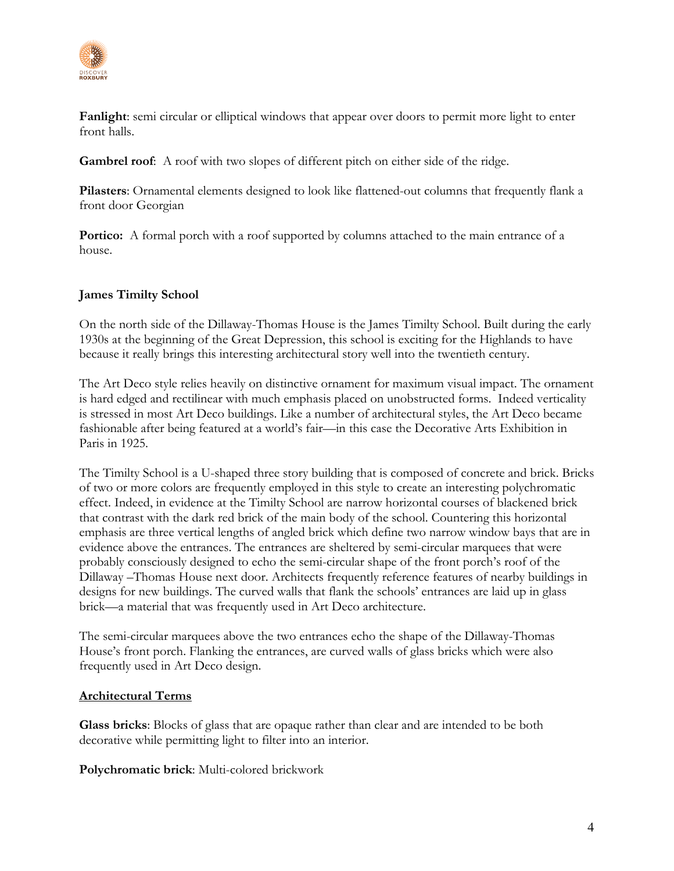

**Fanlight**: semi circular or elliptical windows that appear over doors to permit more light to enter front halls.

**Gambrel roof**: A roof with two slopes of different pitch on either side of the ridge.

**Pilasters**: Ornamental elements designed to look like flattened-out columns that frequently flank a front door Georgian

**Portico:** A formal porch with a roof supported by columns attached to the main entrance of a house.

# **James Timilty School**

On the north side of the Dillaway-Thomas House is the James Timilty School. Built during the early 1930s at the beginning of the Great Depression, this school is exciting for the Highlands to have because it really brings this interesting architectural story well into the twentieth century.

The Art Deco style relies heavily on distinctive ornament for maximum visual impact. The ornament is hard edged and rectilinear with much emphasis placed on unobstructed forms. Indeed verticality is stressed in most Art Deco buildings. Like a number of architectural styles, the Art Deco became fashionable after being featured at a world's fair—in this case the Decorative Arts Exhibition in Paris in 1925.

The Timilty School is a U-shaped three story building that is composed of concrete and brick. Bricks of two or more colors are frequently employed in this style to create an interesting polychromatic effect. Indeed, in evidence at the Timilty School are narrow horizontal courses of blackened brick that contrast with the dark red brick of the main body of the school. Countering this horizontal emphasis are three vertical lengths of angled brick which define two narrow window bays that are in evidence above the entrances. The entrances are sheltered by semi-circular marquees that were probably consciously designed to echo the semi-circular shape of the front porch's roof of the Dillaway –Thomas House next door. Architects frequently reference features of nearby buildings in designs for new buildings. The curved walls that flank the schools' entrances are laid up in glass brick—a material that was frequently used in Art Deco architecture.

The semi-circular marquees above the two entrances echo the shape of the Dillaway-Thomas House's front porch. Flanking the entrances, are curved walls of glass bricks which were also frequently used in Art Deco design.

## **Architectural Terms**

**Glass bricks**: Blocks of glass that are opaque rather than clear and are intended to be both decorative while permitting light to filter into an interior.

**Polychromatic brick**: Multi-colored brickwork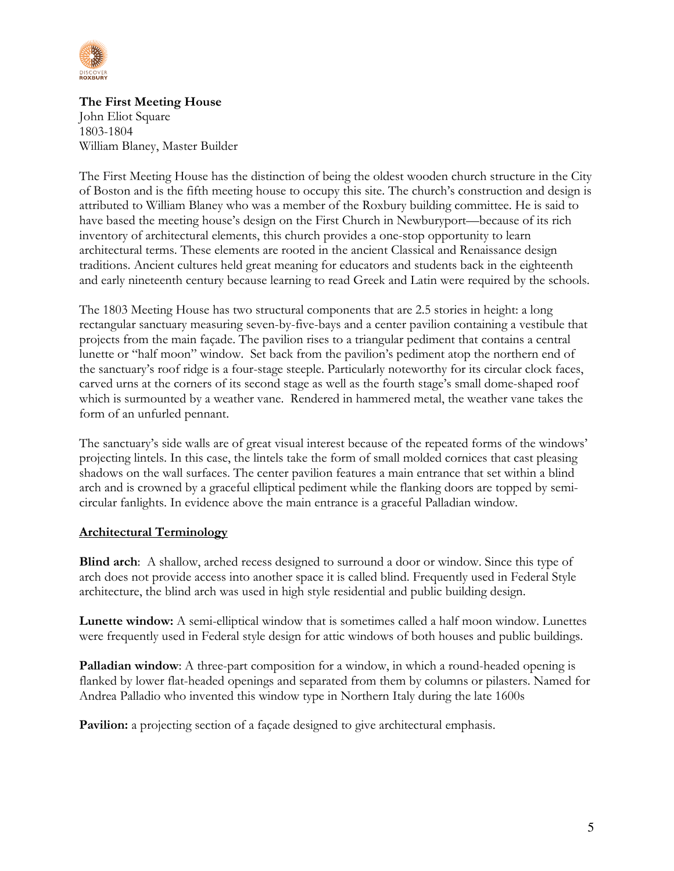

**The First Meeting House** John Eliot Square 1803-1804 William Blaney, Master Builder

The First Meeting House has the distinction of being the oldest wooden church structure in the City of Boston and is the fifth meeting house to occupy this site. The church's construction and design is attributed to William Blaney who was a member of the Roxbury building committee. He is said to have based the meeting house's design on the First Church in Newburyport—because of its rich inventory of architectural elements, this church provides a one-stop opportunity to learn architectural terms. These elements are rooted in the ancient Classical and Renaissance design traditions. Ancient cultures held great meaning for educators and students back in the eighteenth and early nineteenth century because learning to read Greek and Latin were required by the schools.

The 1803 Meeting House has two structural components that are 2.5 stories in height: a long rectangular sanctuary measuring seven-by-five-bays and a center pavilion containing a vestibule that projects from the main façade. The pavilion rises to a triangular pediment that contains a central lunette or "half moon" window. Set back from the pavilion's pediment atop the northern end of the sanctuary's roof ridge is a four-stage steeple. Particularly noteworthy for its circular clock faces, carved urns at the corners of its second stage as well as the fourth stage's small dome-shaped roof which is surmounted by a weather vane. Rendered in hammered metal, the weather vane takes the form of an unfurled pennant.

The sanctuary's side walls are of great visual interest because of the repeated forms of the windows' projecting lintels. In this case, the lintels take the form of small molded cornices that cast pleasing shadows on the wall surfaces. The center pavilion features a main entrance that set within a blind arch and is crowned by a graceful elliptical pediment while the flanking doors are topped by semicircular fanlights. In evidence above the main entrance is a graceful Palladian window.

## **Architectural Terminology**

**Blind arch**: A shallow, arched recess designed to surround a door or window. Since this type of arch does not provide access into another space it is called blind. Frequently used in Federal Style architecture, the blind arch was used in high style residential and public building design.

**Lunette window:** A semi-elliptical window that is sometimes called a half moon window. Lunettes were frequently used in Federal style design for attic windows of both houses and public buildings.

**Palladian window**: A three-part composition for a window, in which a round-headed opening is flanked by lower flat-headed openings and separated from them by columns or pilasters. Named for Andrea Palladio who invented this window type in Northern Italy during the late 1600s

**Pavilion:** a projecting section of a façade designed to give architectural emphasis.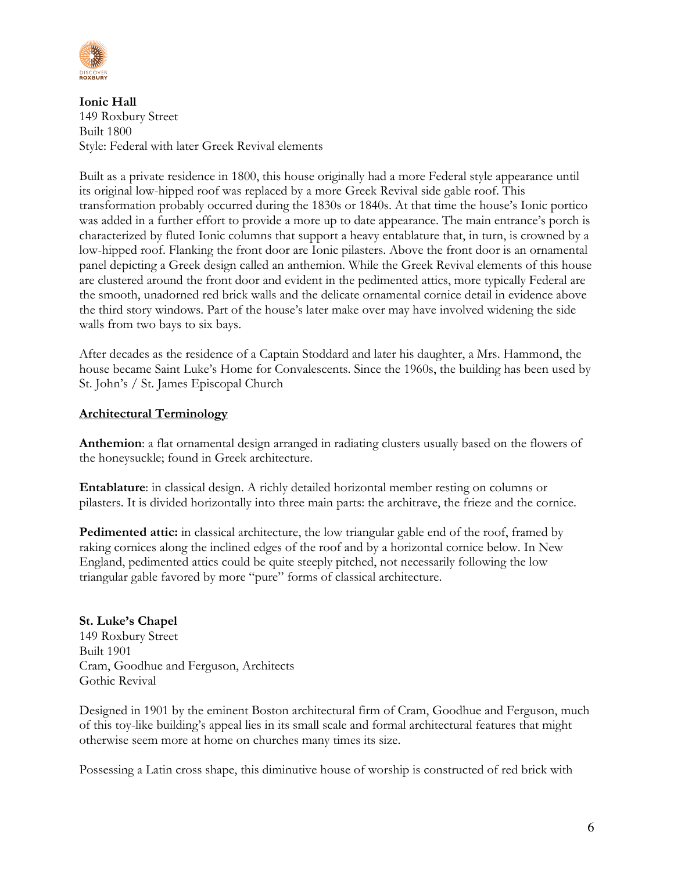

**Ionic Hall** 149 Roxbury Street Built 1800 Style: Federal with later Greek Revival elements

Built as a private residence in 1800, this house originally had a more Federal style appearance until its original low-hipped roof was replaced by a more Greek Revival side gable roof. This transformation probably occurred during the 1830s or 1840s. At that time the house's Ionic portico was added in a further effort to provide a more up to date appearance. The main entrance's porch is characterized by fluted Ionic columns that support a heavy entablature that, in turn, is crowned by a low-hipped roof. Flanking the front door are Ionic pilasters. Above the front door is an ornamental panel depicting a Greek design called an anthemion. While the Greek Revival elements of this house are clustered around the front door and evident in the pedimented attics, more typically Federal are the smooth, unadorned red brick walls and the delicate ornamental cornice detail in evidence above the third story windows. Part of the house's later make over may have involved widening the side walls from two bays to six bays.

After decades as the residence of a Captain Stoddard and later his daughter, a Mrs. Hammond, the house became Saint Luke's Home for Convalescents. Since the 1960s, the building has been used by St. John's / St. James Episcopal Church

## **Architectural Terminology**

**Anthemion**: a flat ornamental design arranged in radiating clusters usually based on the flowers of the honeysuckle; found in Greek architecture.

**Entablature**: in classical design. A richly detailed horizontal member resting on columns or pilasters. It is divided horizontally into three main parts: the architrave, the frieze and the cornice.

Pedimented attic: in classical architecture, the low triangular gable end of the roof, framed by raking cornices along the inclined edges of the roof and by a horizontal cornice below. In New England, pedimented attics could be quite steeply pitched, not necessarily following the low triangular gable favored by more "pure" forms of classical architecture.

## **St. Luke's Chapel** 149 Roxbury Street Built 1901 Cram, Goodhue and Ferguson, Architects Gothic Revival

Designed in 1901 by the eminent Boston architectural firm of Cram, Goodhue and Ferguson, much of this toy-like building's appeal lies in its small scale and formal architectural features that might otherwise seem more at home on churches many times its size.

Possessing a Latin cross shape, this diminutive house of worship is constructed of red brick with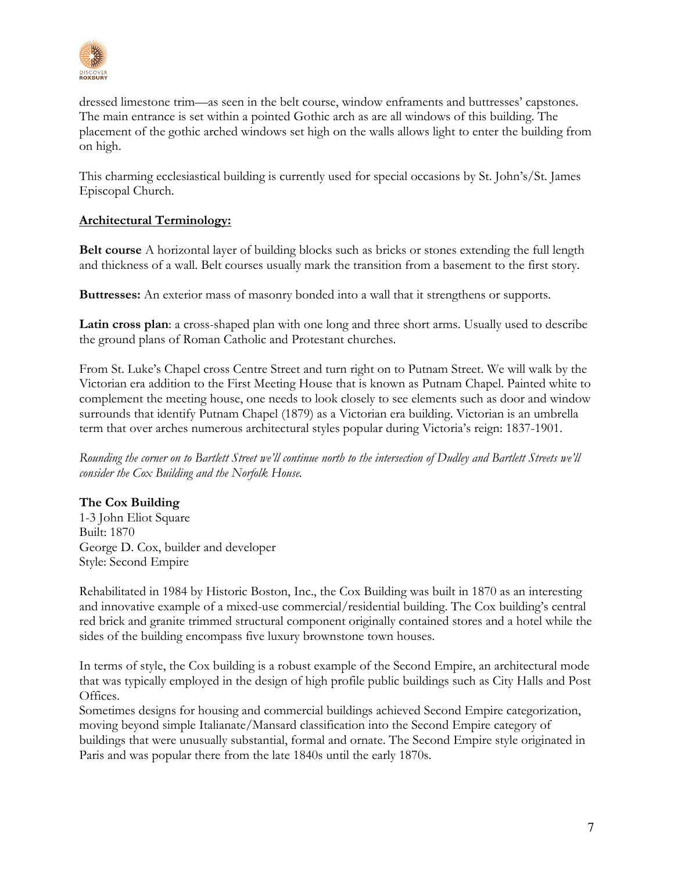

dressed limestone trim—as seen in the belt course, window enframents and buttresses' capstones. The main entrance is set within a pointed Gothic arch as are all windows of this building. The placement of the gothic arched windows set high on the walls allows light to enter the building from on high.

This charming ecclesiastical building is currently used for special occasions by St. John's/St. James Episcopal Church.

# **Architectural Terminology:**

**Belt course** A horizontal layer of building blocks such as bricks or stones extending the full length and thickness of a wall. Belt courses usually mark the transition from a basement to the first story.

**Buttresses:** An exterior mass of masonry bonded into a wall that it strengthens or supports.

**Latin cross plan**: a cross-shaped plan with one long and three short arms. Usually used to describe the ground plans of Roman Catholic and Protestant churches.

From St. Luke's Chapel cross Centre Street and turn right on to Putnam Street. We will walk by the Victorian era addition to the First Meeting House that is known as Putnam Chapel. Painted white to complement the meeting house, one needs to look closely to see elements such as door and window surrounds that identify Putnam Chapel (1879) as a Victorian era building. Victorian is an umbrella term that over arches numerous architectural styles popular during Victoria's reign: 1837-1901.

*Rounding the corner on to Bartlett Street we'll continue north to the intersection of Dudley and Bartlett Streets we'll consider the Cox Building and the Norfolk House.*

# **The Cox Building**

1-3 John Eliot Square Built: 1870 George D. Cox, builder and developer Style: Second Empire

Rehabilitated in 1984 by Historic Boston, Inc., the Cox Building was built in 1870 as an interesting and innovative example of a mixed-use commercial/residential building. The Cox building's central red brick and granite trimmed structural component originally contained stores and a hotel while the sides of the building encompass five luxury brownstone town houses.

In terms of style, the Cox building is a robust example of the Second Empire, an architectural mode that was typically employed in the design of high profile public buildings such as City Halls and Post Offices.

Sometimes designs for housing and commercial buildings achieved Second Empire categorization, moving beyond simple Italianate/Mansard classification into the Second Empire category of buildings that were unusually substantial, formal and ornate. The Second Empire style originated in Paris and was popular there from the late 1840s until the early 1870s.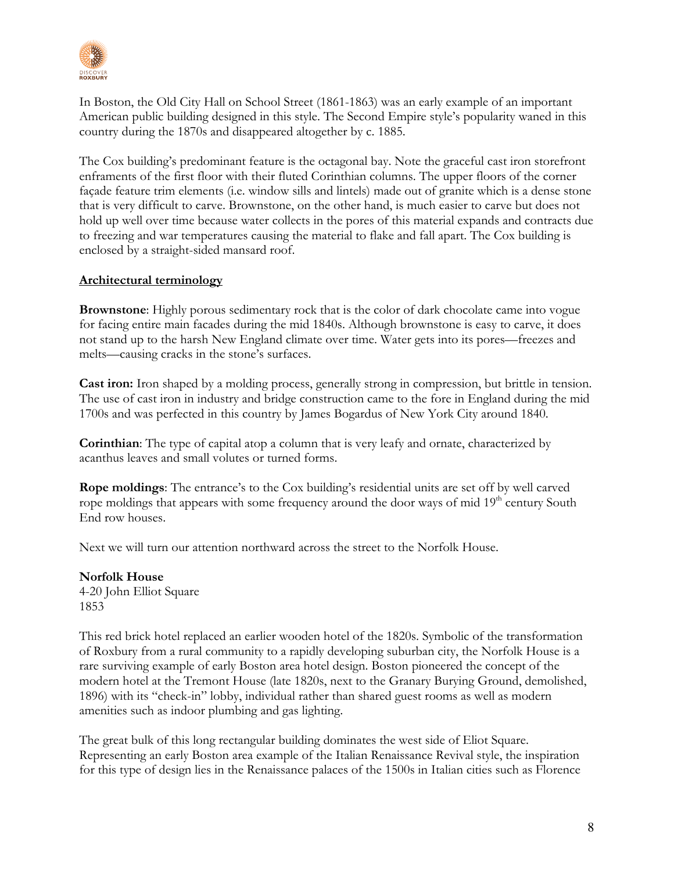

In Boston, the Old City Hall on School Street (1861-1863) was an early example of an important American public building designed in this style. The Second Empire style's popularity waned in this country during the 1870s and disappeared altogether by c. 1885.

The Cox building's predominant feature is the octagonal bay. Note the graceful cast iron storefront enframents of the first floor with their fluted Corinthian columns. The upper floors of the corner façade feature trim elements (i.e. window sills and lintels) made out of granite which is a dense stone that is very difficult to carve. Brownstone, on the other hand, is much easier to carve but does not hold up well over time because water collects in the pores of this material expands and contracts due to freezing and war temperatures causing the material to flake and fall apart. The Cox building is enclosed by a straight-sided mansard roof.

## **Architectural terminology**

**Brownstone**: Highly porous sedimentary rock that is the color of dark chocolate came into vogue for facing entire main facades during the mid 1840s. Although brownstone is easy to carve, it does not stand up to the harsh New England climate over time. Water gets into its pores—freezes and melts—causing cracks in the stone's surfaces.

**Cast iron:** Iron shaped by a molding process, generally strong in compression, but brittle in tension. The use of cast iron in industry and bridge construction came to the fore in England during the mid 1700s and was perfected in this country by James Bogardus of New York City around 1840.

**Corinthian**: The type of capital atop a column that is very leafy and ornate, characterized by acanthus leaves and small volutes or turned forms.

**Rope moldings**: The entrance's to the Cox building's residential units are set off by well carved rope moldings that appears with some frequency around the door ways of mid 19<sup>th</sup> century South End row houses.

Next we will turn our attention northward across the street to the Norfolk House.

**Norfolk House** 4-20 John Elliot Square 1853

This red brick hotel replaced an earlier wooden hotel of the 1820s. Symbolic of the transformation of Roxbury from a rural community to a rapidly developing suburban city, the Norfolk House is a rare surviving example of early Boston area hotel design. Boston pioneered the concept of the modern hotel at the Tremont House (late 1820s, next to the Granary Burying Ground, demolished, 1896) with its "check-in" lobby, individual rather than shared guest rooms as well as modern amenities such as indoor plumbing and gas lighting.

The great bulk of this long rectangular building dominates the west side of Eliot Square. Representing an early Boston area example of the Italian Renaissance Revival style, the inspiration for this type of design lies in the Renaissance palaces of the 1500s in Italian cities such as Florence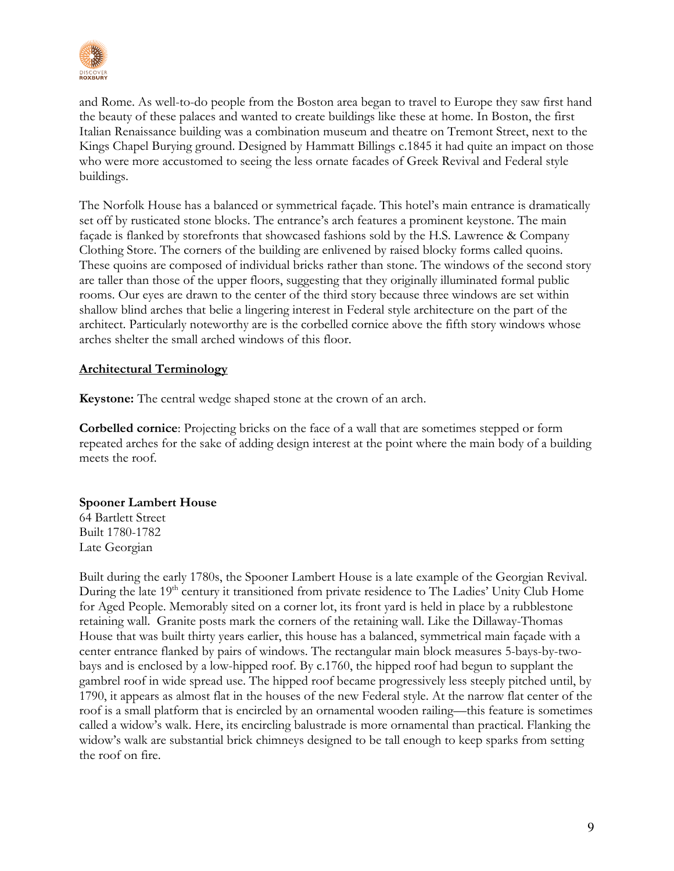

and Rome. As well-to-do people from the Boston area began to travel to Europe they saw first hand the beauty of these palaces and wanted to create buildings like these at home. In Boston, the first Italian Renaissance building was a combination museum and theatre on Tremont Street, next to the Kings Chapel Burying ground. Designed by Hammatt Billings c.1845 it had quite an impact on those who were more accustomed to seeing the less ornate facades of Greek Revival and Federal style buildings.

The Norfolk House has a balanced or symmetrical façade. This hotel's main entrance is dramatically set off by rusticated stone blocks. The entrance's arch features a prominent keystone. The main façade is flanked by storefronts that showcased fashions sold by the H.S. Lawrence & Company Clothing Store. The corners of the building are enlivened by raised blocky forms called quoins. These quoins are composed of individual bricks rather than stone. The windows of the second story are taller than those of the upper floors, suggesting that they originally illuminated formal public rooms. Our eyes are drawn to the center of the third story because three windows are set within shallow blind arches that belie a lingering interest in Federal style architecture on the part of the architect. Particularly noteworthy are is the corbelled cornice above the fifth story windows whose arches shelter the small arched windows of this floor.

# **Architectural Terminology**

**Keystone:** The central wedge shaped stone at the crown of an arch.

**Corbelled cornice**: Projecting bricks on the face of a wall that are sometimes stepped or form repeated arches for the sake of adding design interest at the point where the main body of a building meets the roof.

## **Spooner Lambert House**

64 Bartlett Street Built 1780-1782 Late Georgian

Built during the early 1780s, the Spooner Lambert House is a late example of the Georgian Revival. During the late 19<sup>th</sup> century it transitioned from private residence to The Ladies' Unity Club Home for Aged People. Memorably sited on a corner lot, its front yard is held in place by a rubblestone retaining wall. Granite posts mark the corners of the retaining wall. Like the Dillaway-Thomas House that was built thirty years earlier, this house has a balanced, symmetrical main façade with a center entrance flanked by pairs of windows. The rectangular main block measures 5-bays-by-twobays and is enclosed by a low-hipped roof. By c.1760, the hipped roof had begun to supplant the gambrel roof in wide spread use. The hipped roof became progressively less steeply pitched until, by 1790, it appears as almost flat in the houses of the new Federal style. At the narrow flat center of the roof is a small platform that is encircled by an ornamental wooden railing—this feature is sometimes called a widow's walk. Here, its encircling balustrade is more ornamental than practical. Flanking the widow's walk are substantial brick chimneys designed to be tall enough to keep sparks from setting the roof on fire.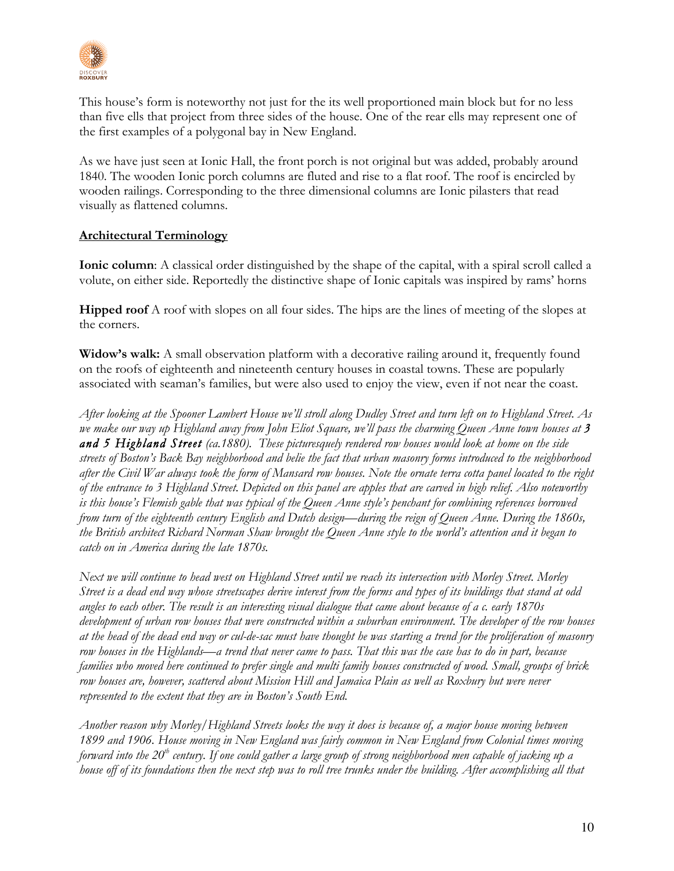

This house's form is noteworthy not just for the its well proportioned main block but for no less than five ells that project from three sides of the house. One of the rear ells may represent one of the first examples of a polygonal bay in New England.

As we have just seen at Ionic Hall, the front porch is not original but was added, probably around 1840. The wooden Ionic porch columns are fluted and rise to a flat roof. The roof is encircled by wooden railings. Corresponding to the three dimensional columns are Ionic pilasters that read visually as flattened columns.

# **Architectural Terminology**

**Ionic column**: A classical order distinguished by the shape of the capital, with a spiral scroll called a volute, on either side. Reportedly the distinctive shape of Ionic capitals was inspired by rams' horns

**Hipped roof** A roof with slopes on all four sides. The hips are the lines of meeting of the slopes at the corners.

**Widow's walk:** A small observation platform with a decorative railing around it, frequently found on the roofs of eighteenth and nineteenth century houses in coastal towns. These are popularly associated with seaman's families, but were also used to enjoy the view, even if not near the coast.

*After looking at the Spooner Lambert House we'll stroll along Dudley Street and turn left on to Highland Street. As we make our way up Highland away from John Eliot Square, we'll pass the charming Queen Anne town houses at 3 and 5 Highland Street (ca.1880). These picturesquely rendered row houses would look at home on the side streets of Boston's Back Bay neighborhood and belie the fact that urban masonry forms introduced to the neighborhood after the Civil War always took the form of Mansard row houses. Note the ornate terra cotta panel located to the right of the entrance to 3 Highland Street. Depicted on this panel are apples that are carved in high relief. Also noteworthy is this house's Flemish gable that was typical of the Queen Anne style's penchant for combining references borrowed from turn of the eighteenth century English and Dutch design—during the reign of Queen Anne. During the 1860s, the British architect Richard Norman Shaw brought the Queen Anne style to the world's attention and it began to catch on in America during the late 1870s.*

*Next we will continue to head west on Highland Street until we reach its intersection with Morley Street. Morley Street is a dead end way whose streetscapes derive interest from the forms and types of its buildings that stand at odd angles to each other. The result is an interesting visual dialogue that came about because of a c. early 1870s development of urban row houses that were constructed within a suburban environment. The developer of the row houses at the head of the dead end way or cul-de-sac must have thought he was starting a trend for the proliferation of masonry row houses in the Highlands—a trend that never came to pass. That this was the case has to do in part, because families who moved here continued to prefer single and multi family houses constructed of wood. Small, groups of brick row houses are, however, scattered about Mission Hill and Jamaica Plain as well as Roxbury but were never represented to the extent that they are in Boston's South End.*

*Another reason why Morley/Highland Streets looks the way it does is because of, a major house moving between 1899 and 1906. House moving in New England was fairly common in New England from Colonial times moving forward into the 20th century. If one could gather a large group of strong neighborhood men capable of jacking up a house off of its foundations then the next step was to roll tree trunks under the building. After accomplishing all that*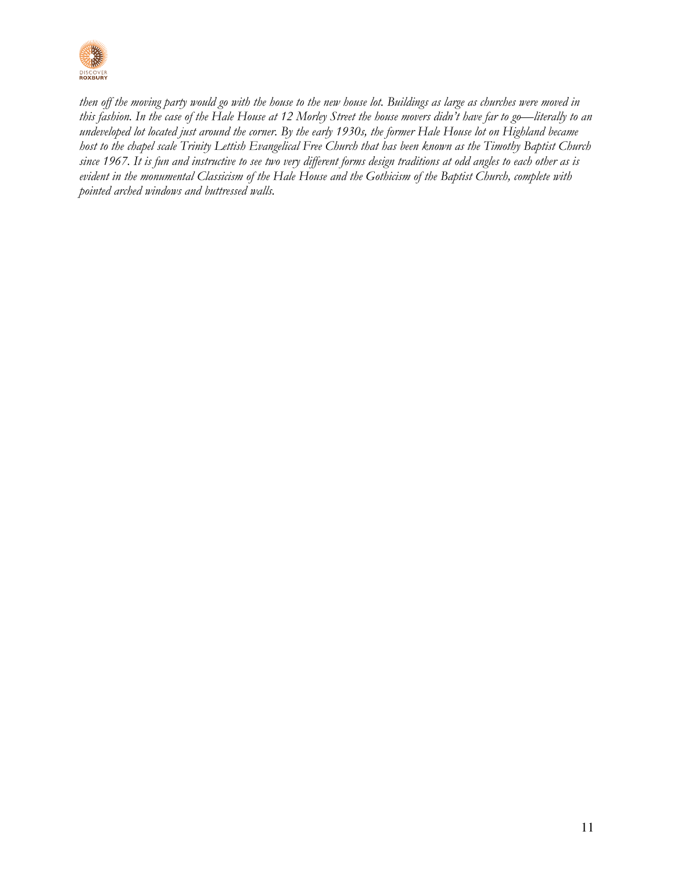

*then off the moving party would go with the house to the new house lot. Buildings as large as churches were moved in this fashion. In the case of the Hale House at 12 Morley Street the house movers didn't have far to go—literally to an undeveloped lot located just around the corner. By the early 1930s, the former Hale House lot on Highland became host to the chapel scale Trinity Lettish Evangelical Free Church that has been known as the Timothy Baptist Church since 1967. It is fun and instructive to see two very different forms design traditions at odd angles to each other as is evident in the monumental Classicism of the Hale House and the Gothicism of the Baptist Church, complete with pointed arched windows and buttressed walls.*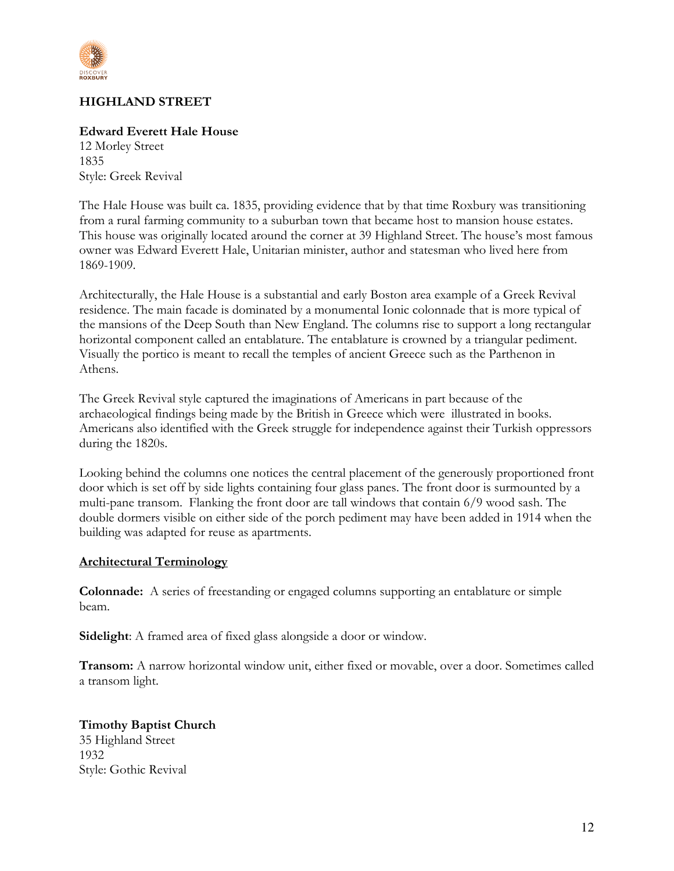

# **HIGHLAND STREET**

### **Edward Everett Hale House**

12 Morley Street 1835 Style: Greek Revival

The Hale House was built ca. 1835, providing evidence that by that time Roxbury was transitioning from a rural farming community to a suburban town that became host to mansion house estates. This house was originally located around the corner at 39 Highland Street. The house's most famous owner was Edward Everett Hale, Unitarian minister, author and statesman who lived here from 1869-1909.

Architecturally, the Hale House is a substantial and early Boston area example of a Greek Revival residence. The main facade is dominated by a monumental Ionic colonnade that is more typical of the mansions of the Deep South than New England. The columns rise to support a long rectangular horizontal component called an entablature. The entablature is crowned by a triangular pediment. Visually the portico is meant to recall the temples of ancient Greece such as the Parthenon in Athens.

The Greek Revival style captured the imaginations of Americans in part because of the archaeological findings being made by the British in Greece which were illustrated in books. Americans also identified with the Greek struggle for independence against their Turkish oppressors during the 1820s.

Looking behind the columns one notices the central placement of the generously proportioned front door which is set off by side lights containing four glass panes. The front door is surmounted by a multi-pane transom. Flanking the front door are tall windows that contain 6/9 wood sash. The double dormers visible on either side of the porch pediment may have been added in 1914 when the building was adapted for reuse as apartments.

#### **Architectural Terminology**

**Colonnade:** A series of freestanding or engaged columns supporting an entablature or simple beam.

**Sidelight**: A framed area of fixed glass alongside a door or window.

**Transom:** A narrow horizontal window unit, either fixed or movable, over a door. Sometimes called a transom light.

# **Timothy Baptist Church**

35 Highland Street 1932 Style: Gothic Revival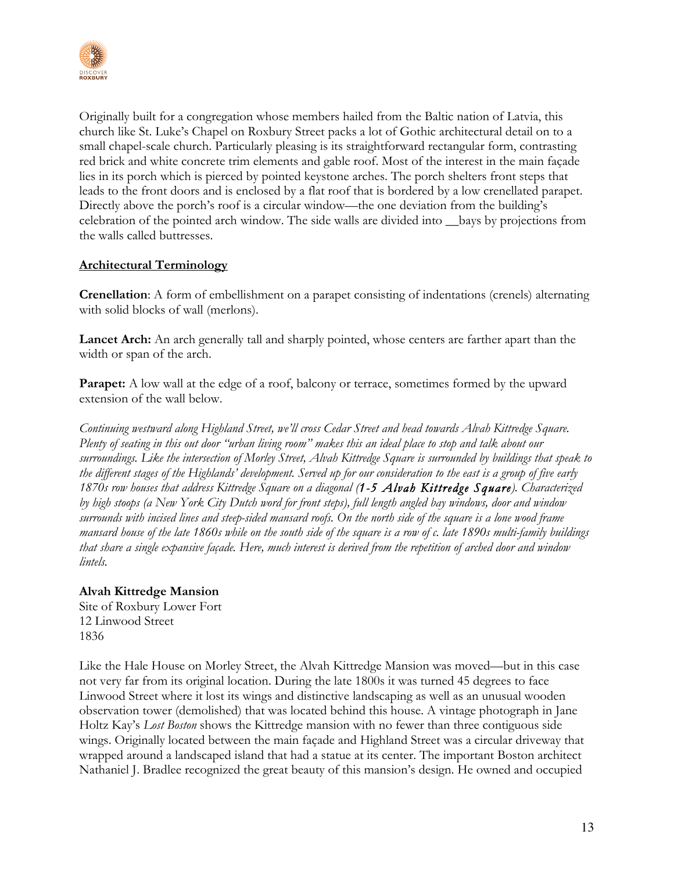

Originally built for a congregation whose members hailed from the Baltic nation of Latvia, this church like St. Luke's Chapel on Roxbury Street packs a lot of Gothic architectural detail on to a small chapel-scale church. Particularly pleasing is its straightforward rectangular form, contrasting red brick and white concrete trim elements and gable roof. Most of the interest in the main façade lies in its porch which is pierced by pointed keystone arches. The porch shelters front steps that leads to the front doors and is enclosed by a flat roof that is bordered by a low crenellated parapet. Directly above the porch's roof is a circular window—the one deviation from the building's celebration of the pointed arch window. The side walls are divided into \_\_bays by projections from the walls called buttresses.

# **Architectural Terminology**

**Crenellation**: A form of embellishment on a parapet consisting of indentations (crenels) alternating with solid blocks of wall (merlons).

**Lancet Arch:** An arch generally tall and sharply pointed, whose centers are farther apart than the width or span of the arch.

**Parapet:** A low wall at the edge of a roof, balcony or terrace, sometimes formed by the upward extension of the wall below.

*Continuing westward along Highland Street, we'll cross Cedar Street and head towards Alvah Kittredge Square. Plenty of seating in this out door "urban living room" makes this an ideal place to stop and talk about our surroundings. Like the intersection of Morley Street, Alvah Kittredge Square is surrounded by buildings that speak to the different stages of the Highlands' development. Served up for our consideration to the east is a group of five early 1870s row houses that address Kittredge Square on a diagonal (1-5 Alvah Kittredge Square). Characterized by high stoops (a New York City Dutch word for front steps), full length angled bay windows, door and window surrounds with incised lines and steep-sided mansard roofs. On the north side of the square is a lone wood frame mansard house of the late 1860s while on the south side of the square is a row of c. late 1890s multi-family buildings that share a single expansive façade. Here, much interest is derived from the repetition of arched door and window lintels.*

## **Alvah Kittredge Mansion**

Site of Roxbury Lower Fort 12 Linwood Street 1836

Like the Hale House on Morley Street, the Alvah Kittredge Mansion was moved—but in this case not very far from its original location. During the late 1800s it was turned 45 degrees to face Linwood Street where it lost its wings and distinctive landscaping as well as an unusual wooden observation tower (demolished) that was located behind this house. A vintage photograph in Jane Holtz Kay's *Lost Boston* shows the Kittredge mansion with no fewer than three contiguous side wings. Originally located between the main façade and Highland Street was a circular driveway that wrapped around a landscaped island that had a statue at its center. The important Boston architect Nathaniel J. Bradlee recognized the great beauty of this mansion's design. He owned and occupied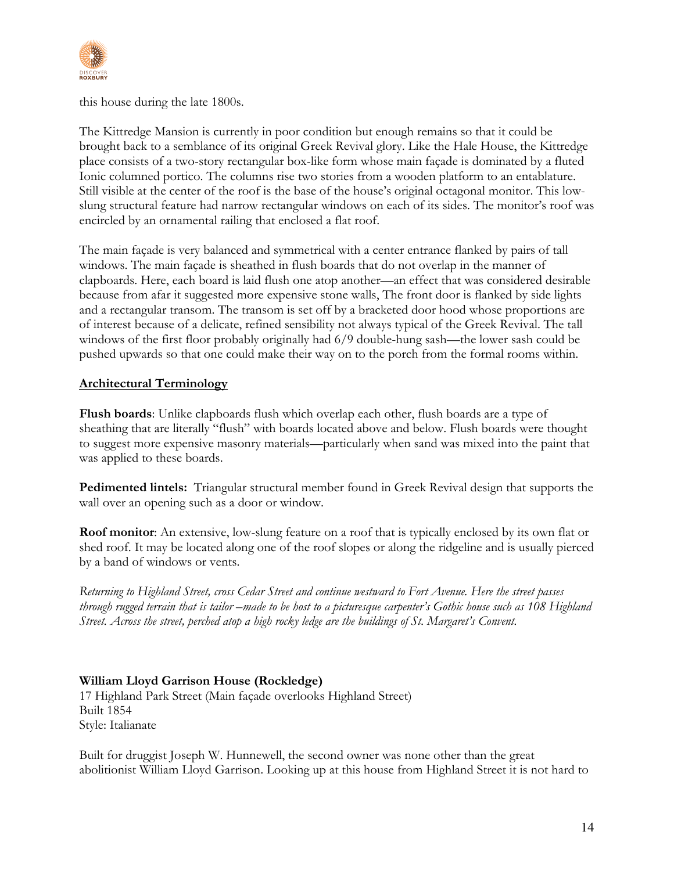

this house during the late 1800s.

The Kittredge Mansion is currently in poor condition but enough remains so that it could be brought back to a semblance of its original Greek Revival glory. Like the Hale House, the Kittredge place consists of a two-story rectangular box-like form whose main façade is dominated by a fluted Ionic columned portico. The columns rise two stories from a wooden platform to an entablature. Still visible at the center of the roof is the base of the house's original octagonal monitor. This lowslung structural feature had narrow rectangular windows on each of its sides. The monitor's roof was encircled by an ornamental railing that enclosed a flat roof.

The main façade is very balanced and symmetrical with a center entrance flanked by pairs of tall windows. The main façade is sheathed in flush boards that do not overlap in the manner of clapboards. Here, each board is laid flush one atop another—an effect that was considered desirable because from afar it suggested more expensive stone walls, The front door is flanked by side lights and a rectangular transom. The transom is set off by a bracketed door hood whose proportions are of interest because of a delicate, refined sensibility not always typical of the Greek Revival. The tall windows of the first floor probably originally had 6/9 double-hung sash—the lower sash could be pushed upwards so that one could make their way on to the porch from the formal rooms within.

# **Architectural Terminology**

**Flush boards**: Unlike clapboards flush which overlap each other, flush boards are a type of sheathing that are literally "flush" with boards located above and below. Flush boards were thought to suggest more expensive masonry materials—particularly when sand was mixed into the paint that was applied to these boards.

**Pedimented lintels:** Triangular structural member found in Greek Revival design that supports the wall over an opening such as a door or window.

**Roof monitor**: An extensive, low-slung feature on a roof that is typically enclosed by its own flat or shed roof. It may be located along one of the roof slopes or along the ridgeline and is usually pierced by a band of windows or vents.

*Returning to Highland Street, cross Cedar Street and continue westward to Fort Avenue. Here the street passes through rugged terrain that is tailor –made to be host to a picturesque carpenter's Gothic house such as 108 Highland Street. Across the street, perched atop a high rocky ledge are the buildings of St. Margaret's Convent.*

# **William Lloyd Garrison House (Rockledge)**

17 Highland Park Street (Main façade overlooks Highland Street) Built 1854 Style: Italianate

Built for druggist Joseph W. Hunnewell, the second owner was none other than the great abolitionist William Lloyd Garrison. Looking up at this house from Highland Street it is not hard to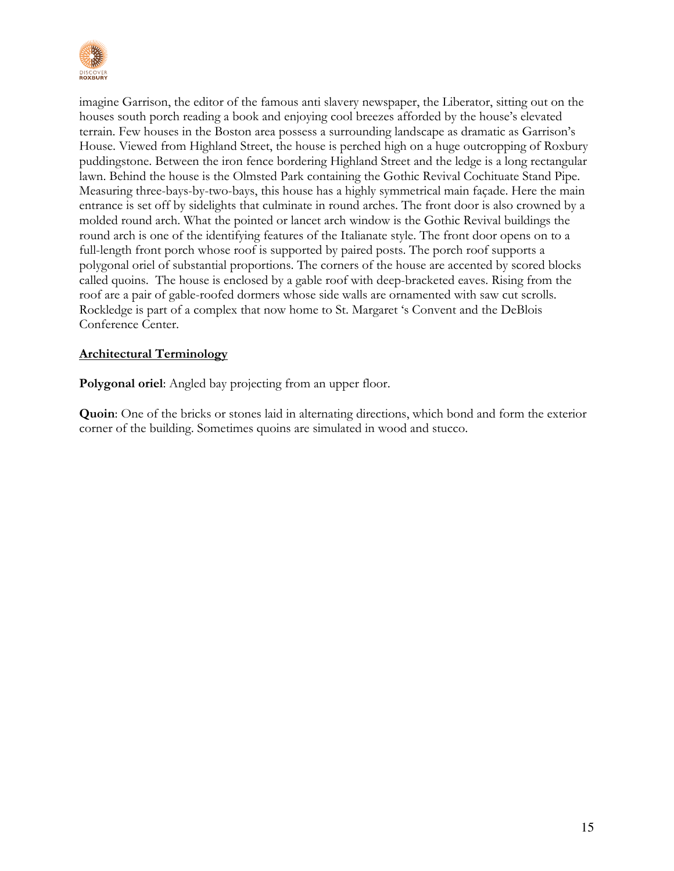

imagine Garrison, the editor of the famous anti slavery newspaper, the Liberator, sitting out on the houses south porch reading a book and enjoying cool breezes afforded by the house's elevated terrain. Few houses in the Boston area possess a surrounding landscape as dramatic as Garrison's House. Viewed from Highland Street, the house is perched high on a huge outcropping of Roxbury puddingstone. Between the iron fence bordering Highland Street and the ledge is a long rectangular lawn. Behind the house is the Olmsted Park containing the Gothic Revival Cochituate Stand Pipe. Measuring three-bays-by-two-bays, this house has a highly symmetrical main façade. Here the main entrance is set off by sidelights that culminate in round arches. The front door is also crowned by a molded round arch. What the pointed or lancet arch window is the Gothic Revival buildings the round arch is one of the identifying features of the Italianate style. The front door opens on to a full-length front porch whose roof is supported by paired posts. The porch roof supports a polygonal oriel of substantial proportions. The corners of the house are accented by scored blocks called quoins. The house is enclosed by a gable roof with deep-bracketed eaves. Rising from the roof are a pair of gable-roofed dormers whose side walls are ornamented with saw cut scrolls. Rockledge is part of a complex that now home to St. Margaret 's Convent and the DeBlois Conference Center.

# **Architectural Terminology**

**Polygonal oriel:** Angled bay projecting from an upper floor.

**Quoin**: One of the bricks or stones laid in alternating directions, which bond and form the exterior corner of the building. Sometimes quoins are simulated in wood and stucco.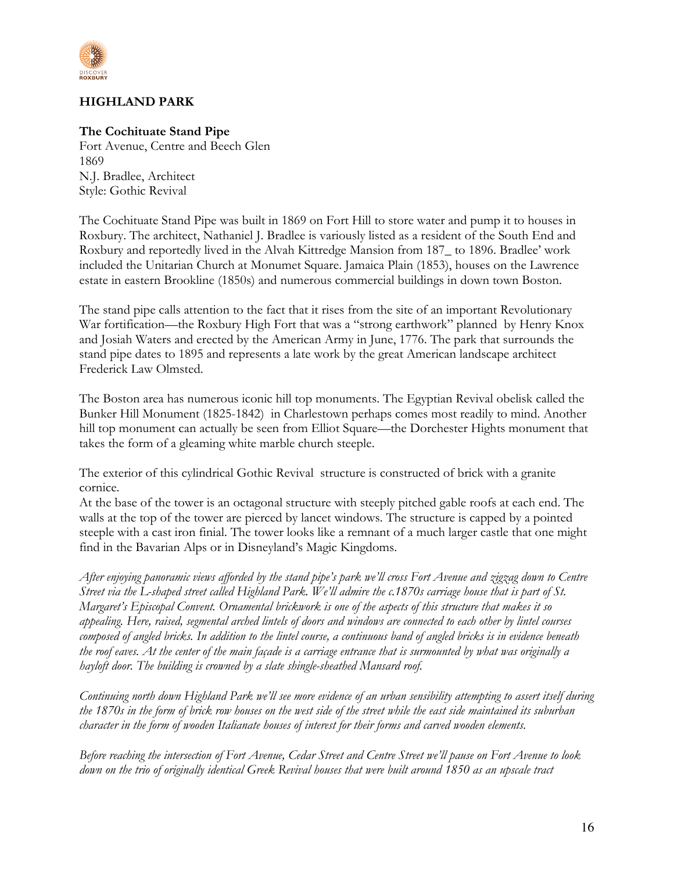

# **HIGHLAND PARK**

## **The Cochituate Stand Pipe**

Fort Avenue, Centre and Beech Glen 1869 N.J. Bradlee, Architect Style: Gothic Revival

The Cochituate Stand Pipe was built in 1869 on Fort Hill to store water and pump it to houses in Roxbury. The architect, Nathaniel J. Bradlee is variously listed as a resident of the South End and Roxbury and reportedly lived in the Alvah Kittredge Mansion from 187\_ to 1896. Bradlee' work included the Unitarian Church at Monumet Square. Jamaica Plain (1853), houses on the Lawrence estate in eastern Brookline (1850s) and numerous commercial buildings in down town Boston.

The stand pipe calls attention to the fact that it rises from the site of an important Revolutionary War fortification—the Roxbury High Fort that was a "strong earthwork" planned by Henry Knox and Josiah Waters and erected by the American Army in June, 1776. The park that surrounds the stand pipe dates to 1895 and represents a late work by the great American landscape architect Frederick Law Olmsted.

The Boston area has numerous iconic hill top monuments. The Egyptian Revival obelisk called the Bunker Hill Monument (1825-1842) in Charlestown perhaps comes most readily to mind. Another hill top monument can actually be seen from Elliot Square—the Dorchester Hights monument that takes the form of a gleaming white marble church steeple.

The exterior of this cylindrical Gothic Revival structure is constructed of brick with a granite cornice.

At the base of the tower is an octagonal structure with steeply pitched gable roofs at each end. The walls at the top of the tower are pierced by lancet windows. The structure is capped by a pointed steeple with a cast iron finial. The tower looks like a remnant of a much larger castle that one might find in the Bavarian Alps or in Disneyland's Magic Kingdoms.

*After enjoying panoramic views afforded by the stand pipe's park we'll cross Fort Avenue and zigzag down to Centre Street via the L-shaped street called Highland Park. We'll admire the c.1870s carriage house that is part of St. Margaret's Episcopal Convent. Ornamental brickwork is one of the aspects of this structure that makes it so appealing. Here, raised, segmental arched lintels of doors and windows are connected to each other by lintel courses composed of angled bricks. In addition to the lintel course, a continuous band of angled bricks is in evidence beneath the roof eaves. At the center of the main façade is a carriage entrance that is surmounted by what was originally a hayloft door. The building is crowned by a slate shingle-sheathed Mansard roof.*

*Continuing north down Highland Park we'll see more evidence of an urban sensibility attempting to assert itself during the 1870s in the form of brick row houses on the west side of the street while the east side maintained its suburban character in the form of wooden Italianate houses of interest for their forms and carved wooden elements.*

*Before reaching the intersection of Fort Avenue, Cedar Street and Centre Street we'll pause on Fort Avenue to look down on the trio of originally identical Greek Revival houses that were built around 1850 as an upscale tract*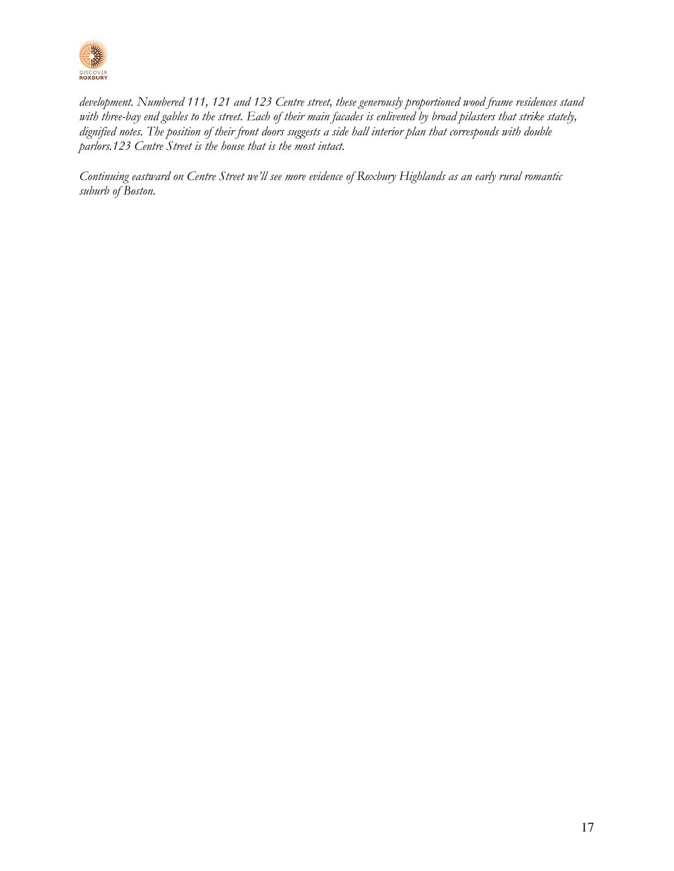

*development. Numbered 111, 121 and 123 Centre street, these generously proportioned wood frame residences stand with three-bay end gables to the street. Each of their main facades is enlivened by broad pilasters that strike stately, dignified notes. The position of their front doors suggests a side hall interior plan that corresponds with double parlors.123 Centre Street is the house that is the most intact.*

*Continuing eastward on Centre Street we'll see more evidence of Roxbury Highlands as an early rural romantic suburb of Boston.*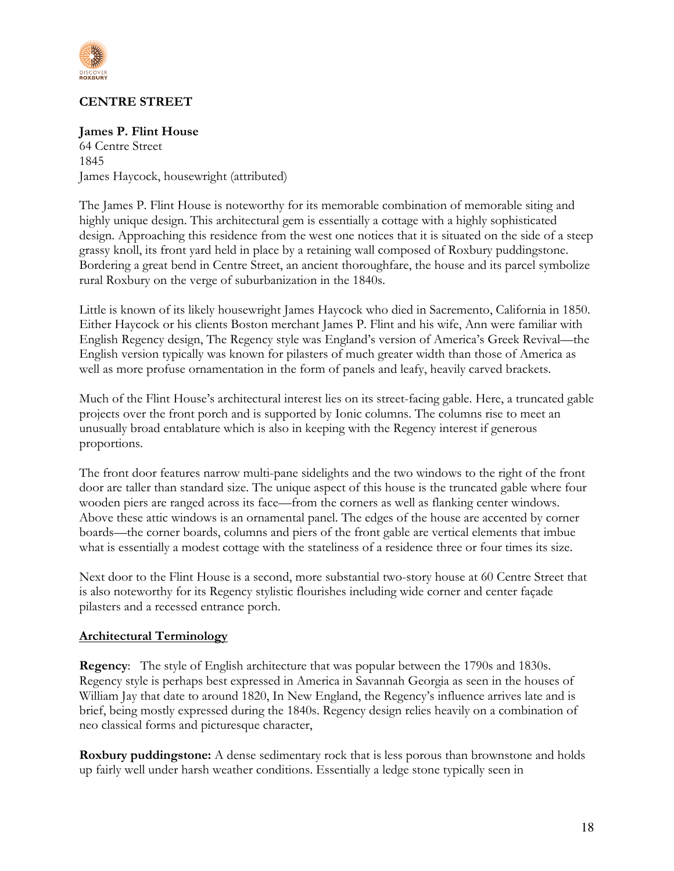

# **CENTRE STREET**

## **James P. Flint House**

64 Centre Street 1845 James Haycock, housewright (attributed)

The James P. Flint House is noteworthy for its memorable combination of memorable siting and highly unique design. This architectural gem is essentially a cottage with a highly sophisticated design. Approaching this residence from the west one notices that it is situated on the side of a steep grassy knoll, its front yard held in place by a retaining wall composed of Roxbury puddingstone. Bordering a great bend in Centre Street, an ancient thoroughfare, the house and its parcel symbolize rural Roxbury on the verge of suburbanization in the 1840s.

Little is known of its likely housewright James Haycock who died in Sacremento, California in 1850. Either Haycock or his clients Boston merchant James P. Flint and his wife, Ann were familiar with English Regency design, The Regency style was England's version of America's Greek Revival—the English version typically was known for pilasters of much greater width than those of America as well as more profuse ornamentation in the form of panels and leafy, heavily carved brackets.

Much of the Flint House's architectural interest lies on its street-facing gable. Here, a truncated gable projects over the front porch and is supported by Ionic columns. The columns rise to meet an unusually broad entablature which is also in keeping with the Regency interest if generous proportions.

The front door features narrow multi-pane sidelights and the two windows to the right of the front door are taller than standard size. The unique aspect of this house is the truncated gable where four wooden piers are ranged across its face—from the corners as well as flanking center windows. Above these attic windows is an ornamental panel. The edges of the house are accented by corner boards—the corner boards, columns and piers of the front gable are vertical elements that imbue what is essentially a modest cottage with the stateliness of a residence three or four times its size.

Next door to the Flint House is a second, more substantial two-story house at 60 Centre Street that is also noteworthy for its Regency stylistic flourishes including wide corner and center façade pilasters and a recessed entrance porch.

#### **Architectural Terminology**

**Regency**: The style of English architecture that was popular between the 1790s and 1830s. Regency style is perhaps best expressed in America in Savannah Georgia as seen in the houses of William Jay that date to around 1820, In New England, the Regency's influence arrives late and is brief, being mostly expressed during the 1840s. Regency design relies heavily on a combination of neo classical forms and picturesque character,

**Roxbury puddingstone:** A dense sedimentary rock that is less porous than brownstone and holds up fairly well under harsh weather conditions. Essentially a ledge stone typically seen in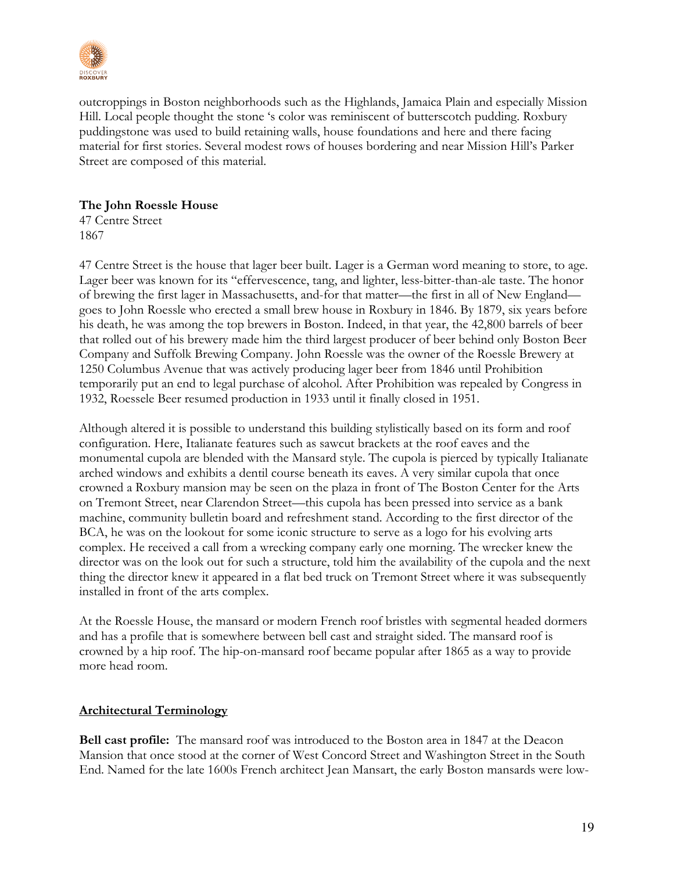

outcroppings in Boston neighborhoods such as the Highlands, Jamaica Plain and especially Mission Hill. Local people thought the stone 's color was reminiscent of butterscotch pudding. Roxbury puddingstone was used to build retaining walls, house foundations and here and there facing material for first stories. Several modest rows of houses bordering and near Mission Hill's Parker Street are composed of this material.

# **The John Roessle House**

47 Centre Street 1867

47 Centre Street is the house that lager beer built. Lager is a German word meaning to store, to age. Lager beer was known for its "effervescence, tang, and lighter, less-bitter-than-ale taste. The honor of brewing the first lager in Massachusetts, and-for that matter—the first in all of New England goes to John Roessle who erected a small brew house in Roxbury in 1846. By 1879, six years before his death, he was among the top brewers in Boston. Indeed, in that year, the 42,800 barrels of beer that rolled out of his brewery made him the third largest producer of beer behind only Boston Beer Company and Suffolk Brewing Company. John Roessle was the owner of the Roessle Brewery at 1250 Columbus Avenue that was actively producing lager beer from 1846 until Prohibition temporarily put an end to legal purchase of alcohol. After Prohibition was repealed by Congress in 1932, Roessele Beer resumed production in 1933 until it finally closed in 1951.

Although altered it is possible to understand this building stylistically based on its form and roof configuration. Here, Italianate features such as sawcut brackets at the roof eaves and the monumental cupola are blended with the Mansard style. The cupola is pierced by typically Italianate arched windows and exhibits a dentil course beneath its eaves. A very similar cupola that once crowned a Roxbury mansion may be seen on the plaza in front of The Boston Center for the Arts on Tremont Street, near Clarendon Street—this cupola has been pressed into service as a bank machine, community bulletin board and refreshment stand. According to the first director of the BCA, he was on the lookout for some iconic structure to serve as a logo for his evolving arts complex. He received a call from a wrecking company early one morning. The wrecker knew the director was on the look out for such a structure, told him the availability of the cupola and the next thing the director knew it appeared in a flat bed truck on Tremont Street where it was subsequently installed in front of the arts complex.

At the Roessle House, the mansard or modern French roof bristles with segmental headed dormers and has a profile that is somewhere between bell cast and straight sided. The mansard roof is crowned by a hip roof. The hip-on-mansard roof became popular after 1865 as a way to provide more head room.

## **Architectural Terminology**

**Bell cast profile:** The mansard roof was introduced to the Boston area in 1847 at the Deacon Mansion that once stood at the corner of West Concord Street and Washington Street in the South End. Named for the late 1600s French architect Jean Mansart, the early Boston mansards were low-